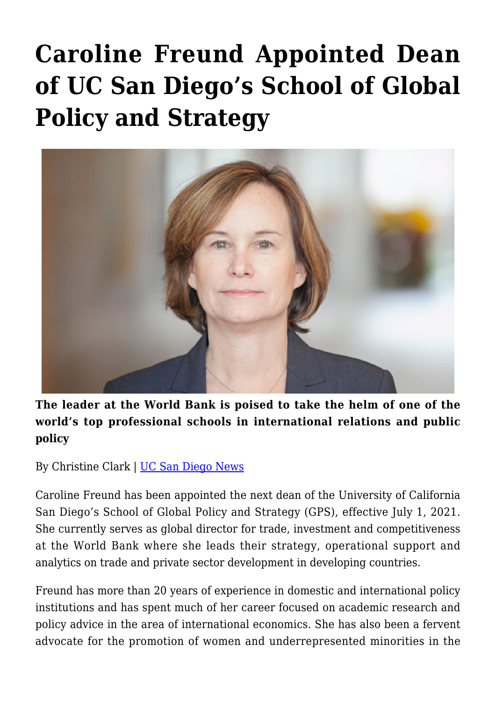## **[Caroline Freund Appointed Dean](https://gpsnews.ucsd.edu/caroline-freund-appointed-dean-of-uc-san-diegos-school-of-global-policy-and-strategy/) [of UC San Diego's School of Global](https://gpsnews.ucsd.edu/caroline-freund-appointed-dean-of-uc-san-diegos-school-of-global-policy-and-strategy/) [Policy and Strategy](https://gpsnews.ucsd.edu/caroline-freund-appointed-dean-of-uc-san-diegos-school-of-global-policy-and-strategy/)**



**The leader at the World Bank is poised to take the helm of one of the world's top professional schools in international relations and public policy**

By Christine Clark | [UC San Diego News](https://ucsdnews.ucsd.edu/pressrelease/caroline-freund-appointed-dean-of-uc-san-diego-school-of-global-policy-and-strategy)

Caroline Freund has been appointed the next dean of the University of California San Diego's School of Global Policy and Strategy (GPS), effective July 1, 2021. She currently serves as global director for trade, investment and competitiveness at the World Bank where she leads their strategy, operational support and analytics on trade and private sector development in developing countries.

Freund has more than 20 years of experience in domestic and international policy institutions and has spent much of her career focused on academic research and policy advice in the area of international economics. She has also been a fervent advocate for the promotion of women and underrepresented minorities in the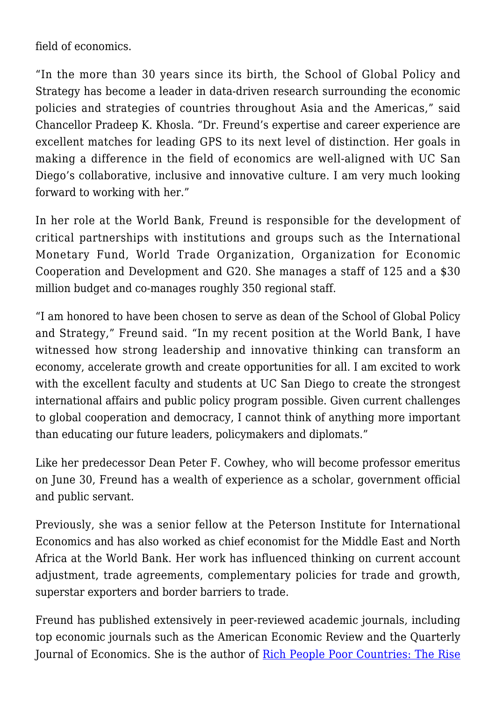field of economics.

"In the more than 30 years since its birth, the School of Global Policy and Strategy has become a leader in data-driven research surrounding the economic policies and strategies of countries throughout Asia and the Americas," said Chancellor Pradeep K. Khosla. "Dr. Freund's expertise and career experience are excellent matches for leading GPS to its next level of distinction. Her goals in making a difference in the field of economics are well-aligned with UC San Diego's collaborative, inclusive and innovative culture. I am very much looking forward to working with her."

In her role at the World Bank, Freund is responsible for the development of critical partnerships with institutions and groups such as the International Monetary Fund, World Trade Organization, Organization for Economic Cooperation and Development and G20. She manages a staff of 125 and a \$30 million budget and co-manages roughly 350 regional staff.

"I am honored to have been chosen to serve as dean of the School of Global Policy and Strategy," Freund said. "In my recent position at the World Bank, I have witnessed how strong leadership and innovative thinking can transform an economy, accelerate growth and create opportunities for all. I am excited to work with the excellent faculty and students at UC San Diego to create the strongest international affairs and public policy program possible. Given current challenges to global cooperation and democracy, I cannot think of anything more important than educating our future leaders, policymakers and diplomats."

Like her predecessor Dean Peter F. Cowhey, who will become professor emeritus on June 30, Freund has a wealth of experience as a scholar, government official and public servant.

Previously, she was a senior fellow at the Peterson Institute for International Economics and has also worked as chief economist for the Middle East and North Africa at the World Bank. Her work has influenced thinking on current account adjustment, trade agreements, complementary policies for trade and growth, superstar exporters and border barriers to trade.

Freund has published extensively in peer-reviewed academic journals, including top economic journals such as the American Economic Review and the Quarterly Journal of Economics. She is the author of [Rich People Poor Countries: The Rise](https://www.amazon.com/Rich-People-Poor-Countries-Emerging-Market/dp/0881327034)